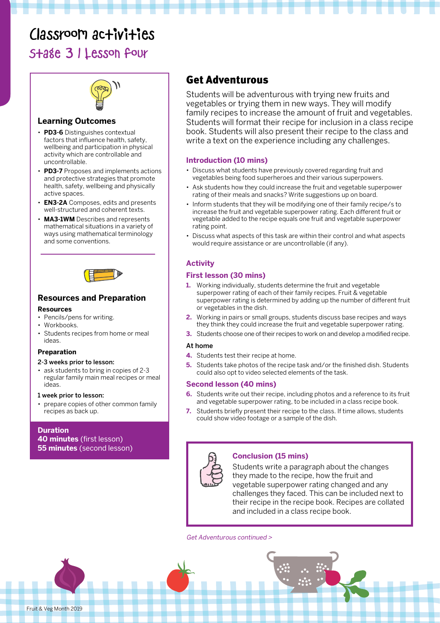# Classroom activities

### Stage 3 | Lesson four



#### **Learning Outcomes**

- **PD3-6** Distinguishes contextual factors that influence health, safety, wellbeing and participation in physical activity which are controllable and uncontrollable.
- **PD3-7** Proposes and implements actions and protective strategies that promote health, safety, wellbeing and physically active spaces.
- **EN3-2A** Composes, edits and presents well-structured and coherent texts.
- **MA3-1WM** Describes and represents mathematical situations in a variety of ways using mathematical terminology and some conventions.



#### **Resources and Preparation**

#### **Resources**

- Pencils/pens for writing.
- Workbooks.
- Students recipes from home or meal ideas.

#### **Preparation**

#### 2-3 weeks prior to lesson:

• ask students to bring in copies of 2-3 regular family main meal recipes or meal ideas.

#### 1 week prior to lesson:

• prepare copies of other common family recipes as back up.

#### **Duration 40 minutes** (first lesson) **55 minutes** (second lesson)

### Get Adventurous

Students will be adventurous with trying new fruits and vegetables or trying them in new ways. They will modify family recipes to increase the amount of fruit and vegetables. Students will format their recipe for inclusion in a class recipe book. Students will also present their recipe to the class and write a text on the experience including any challenges.

#### **Introduction (10 mins)**

- Discuss what students have previously covered regarding fruit and vegetables being food superheroes and their various superpowers.
- Ask students how they could increase the fruit and vegetable superpower rating of their meals and snacks? Write suggestions up on board.
- Inform students that they will be modifying one of their family recipe/s to increase the fruit and vegetable superpower rating. Each different fruit or vegetable added to the recipe equals one fruit and vegetable superpower rating point.
- Discuss what aspects of this task are within their control and what aspects would require assistance or are uncontrollable (if any).

#### **Activity**

#### **First lesson (30 mins)**

- **1.** Working individually, students determine the fruit and vegetable superpower rating of each of their family recipes. Fruit & vegetable superpower rating is determined by adding up the number of different fruit or vegetables in the dish.
- **2.** Working in pairs or small groups, students discuss base recipes and ways they think they could increase the fruit and vegetable superpower rating.
- **3.** Students choose one of their recipes to work on and develop a modified recipe.

#### At home

- **4.** Students test their recipe at home.
- **5.** Students take photos of the recipe task and/or the finished dish. Students could also opt to video selected elements of the task.

#### **Second lesson (40 mins)**

- **6.** Students write out their recipe, including photos and a reference to its fruit and vegetable superpower rating, to be included in a class recipe book.
- **7.** Students briefly present their recipe to the class. If time allows, students could show video footage or a sample of the dish.



#### **Conclusion (15 mins)**

Students write a paragraph about the changes they made to the recipe, how the fruit and vegetable superpower rating changed and any challenges they faced. This can be included next to their recipe in the recipe book. Recipes are collated and included in a class recipe book.

#### Get Adventurous continued >